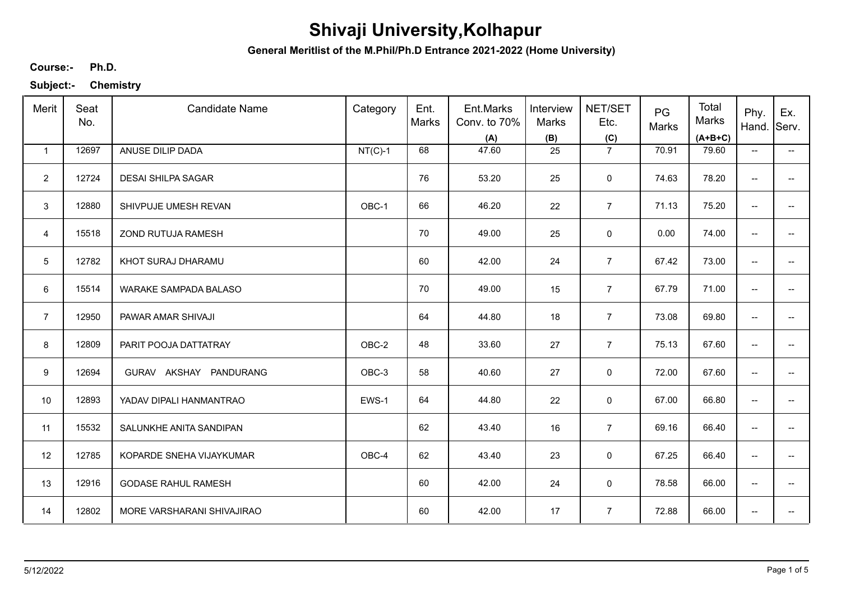**General Meritlist of the M.Phil/Ph.D Entrance 2021-2022 (Home University)**

**Ph.D. Course:-**

| Merit          | Seat<br>No. | <b>Candidate Name</b>      | Category  | Ent.<br>Marks | Ent.Marks<br>Conv. to 70%<br>(A) | Interview<br>Marks<br>(B) | NET/SET<br>Etc.<br>(C) | PG<br>Marks | Total<br>Marks<br>$(A+B+C)$ | Phy.<br>Hand.            | Ex.<br>Serv.             |
|----------------|-------------|----------------------------|-----------|---------------|----------------------------------|---------------------------|------------------------|-------------|-----------------------------|--------------------------|--------------------------|
| $\mathbf{1}$   | 12697       | ANUSE DILIP DADA           | $NT(C)-1$ | 68            | 47.60                            | 25                        | $\overline{7}$         | 70.91       | 79.60                       | $\overline{\phantom{a}}$ | $\overline{\phantom{a}}$ |
| $\overline{2}$ | 12724       | <b>DESAI SHILPA SAGAR</b>  |           | 76            | 53.20                            | 25                        | $\mathbf 0$            | 74.63       | 78.20                       | $\overline{\phantom{a}}$ |                          |
| 3              | 12880       | SHIVPUJE UMESH REVAN       | OBC-1     | 66            | 46.20                            | 22                        | $\overline{7}$         | 71.13       | 75.20                       | ÷                        |                          |
| $\overline{4}$ | 15518       | ZOND RUTUJA RAMESH         |           | 70            | 49.00                            | 25                        | 0                      | 0.00        | 74.00                       | $\overline{\phantom{a}}$ | --                       |
| 5              | 12782       | KHOT SURAJ DHARAMU         |           | 60            | 42.00                            | 24                        | $\overline{7}$         | 67.42       | 73.00                       | $\overline{\phantom{m}}$ | --                       |
| 6              | 15514       | WARAKE SAMPADA BALASO      |           | 70            | 49.00                            | 15                        | $\overline{7}$         | 67.79       | 71.00                       | $\overline{\phantom{m}}$ | --                       |
| $\overline{7}$ | 12950       | PAWAR AMAR SHIVAJI         |           | 64            | 44.80                            | 18                        | $\overline{7}$         | 73.08       | 69.80                       | $\overline{\phantom{m}}$ | --                       |
| 8              | 12809       | PARIT POOJA DATTATRAY      | OBC-2     | 48            | 33.60                            | 27                        | $\overline{7}$         | 75.13       | 67.60                       | $\overline{\phantom{m}}$ |                          |
| 9              | 12694       | GURAV AKSHAY PANDURANG     | OBC-3     | 58            | 40.60                            | 27                        | 0                      | 72.00       | 67.60                       | $\overline{\phantom{a}}$ |                          |
| 10             | 12893       | YADAV DIPALI HANMANTRAO    | EWS-1     | 64            | 44.80                            | 22                        | 0                      | 67.00       | 66.80                       | $\overline{\phantom{a}}$ |                          |
| 11             | 15532       | SALUNKHE ANITA SANDIPAN    |           | 62            | 43.40                            | 16                        | $\overline{7}$         | 69.16       | 66.40                       | $\overline{\phantom{a}}$ |                          |
| 12             | 12785       | KOPARDE SNEHA VIJAYKUMAR   | OBC-4     | 62            | 43.40                            | 23                        | 0                      | 67.25       | 66.40                       | $\overline{\phantom{a}}$ | --                       |
| 13             | 12916       | <b>GODASE RAHUL RAMESH</b> |           | 60            | 42.00                            | 24                        | $\mathbf 0$            | 78.58       | 66.00                       | $\overline{\phantom{a}}$ | $\overline{\phantom{a}}$ |
| 14             | 12802       | MORE VARSHARANI SHIVAJIRAO |           | 60            | 42.00                            | 17                        | $\overline{7}$         | 72.88       | 66.00                       | $\overline{\phantom{a}}$ | --                       |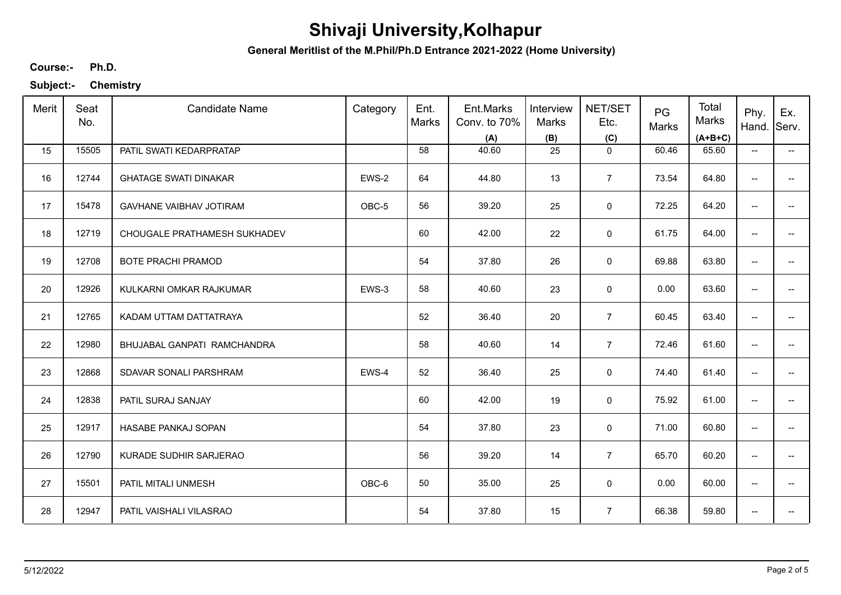**General Meritlist of the M.Phil/Ph.D Entrance 2021-2022 (Home University)**

**Ph.D. Course:-**

| Merit | Seat<br>No. | <b>Candidate Name</b>          | Category | Ent.<br>Marks | Ent.Marks<br>Conv. to 70%<br>(A) | Interview<br><b>Marks</b><br>(B) | NET/SET<br>Etc.<br>(C) | PG<br>Marks | Total<br>Marks<br>$(A+B+C)$ | Phy.<br>Hand.                       | Ex.<br>Serv.             |
|-------|-------------|--------------------------------|----------|---------------|----------------------------------|----------------------------------|------------------------|-------------|-----------------------------|-------------------------------------|--------------------------|
| 15    | 15505       | PATIL SWATI KEDARPRATAP        |          | 58            | 40.60                            | 25                               | $\mathbf 0$            | 60.46       | 65.60                       | $\overline{\phantom{a}}$            | $\overline{\phantom{a}}$ |
| 16    | 12744       | <b>GHATAGE SWATI DINAKAR</b>   | EWS-2    | 64            | 44.80                            | 13                               | $\overline{7}$         | 73.54       | 64.80                       | --                                  |                          |
| 17    | 15478       | <b>GAVHANE VAIBHAV JOTIRAM</b> | OBC-5    | 56            | 39.20                            | 25                               | $\mathsf 0$            | 72.25       | 64.20                       | --                                  | --                       |
| 18    | 12719       | CHOUGALE PRATHAMESH SUKHADEV   |          | 60            | 42.00                            | 22                               | 0                      | 61.75       | 64.00                       | $\overline{\phantom{a}}$            |                          |
| 19    | 12708       | <b>BOTE PRACHI PRAMOD</b>      |          | 54            | 37.80                            | 26                               | 0                      | 69.88       | 63.80                       | $\overline{\phantom{a}}$            | $\qquad \qquad -$        |
| 20    | 12926       | KULKARNI OMKAR RAJKUMAR        | EWS-3    | 58            | 40.60                            | 23                               | $\mathbf 0$            | 0.00        | 63.60                       | $\overline{\phantom{a}}$            | --                       |
| 21    | 12765       | KADAM UTTAM DATTATRAYA         |          | 52            | 36.40                            | 20                               | $\overline{7}$         | 60.45       | 63.40                       | $\overline{\phantom{a}}$            | --                       |
| 22    | 12980       | BHUJABAL GANPATI RAMCHANDRA    |          | 58            | 40.60                            | 14                               | $\overline{7}$         | 72.46       | 61.60                       | $\overline{\phantom{a}}$            |                          |
| 23    | 12868       | SDAVAR SONALI PARSHRAM         | EWS-4    | 52            | 36.40                            | 25                               | $\mathbf 0$            | 74.40       | 61.40                       | $\overline{\phantom{a}}$            | --                       |
| 24    | 12838       | PATIL SURAJ SANJAY             |          | 60            | 42.00                            | 19                               | 0                      | 75.92       | 61.00                       | --                                  | --                       |
| 25    | 12917       | HASABE PANKAJ SOPAN            |          | 54            | 37.80                            | 23                               | $\mathbf 0$            | 71.00       | 60.80                       | $\overline{\phantom{a}}$            | --                       |
| 26    | 12790       | KURADE SUDHIR SARJERAO         |          | 56            | 39.20                            | 14                               | $\overline{7}$         | 65.70       | 60.20                       | $\overline{\phantom{a}}$            | $\overline{\phantom{a}}$ |
| 27    | 15501       | PATIL MITALI UNMESH            | OBC-6    | 50            | 35.00                            | 25                               | 0                      | 0.00        | 60.00                       | $\overline{\phantom{a}}$            | $\overline{\phantom{a}}$ |
| 28    | 12947       | PATIL VAISHALI VILASRAO        |          | 54            | 37.80                            | 15                               | $\overline{7}$         | 66.38       | 59.80                       | $\hspace{0.05cm}$ $\hspace{0.05cm}$ | --                       |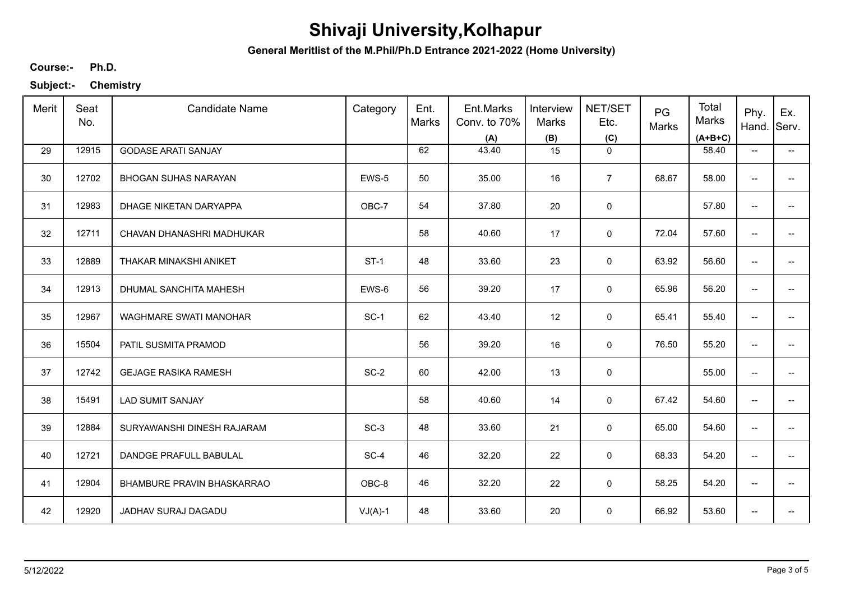**General Meritlist of the M.Phil/Ph.D Entrance 2021-2022 (Home University)**

**Ph.D. Course:-**

| Merit | Seat<br>No. | <b>Candidate Name</b>         | Category    | Ent.<br>Marks | Ent.Marks<br>Conv. to 70%<br>(A) | Interview<br><b>Marks</b><br>(B) | NET/SET<br>Etc.<br>(C) | PG<br>Marks | Total<br>Marks<br>$(A+B+C)$ | Phy.<br>Hand.                       | Ex.<br>Serv.             |
|-------|-------------|-------------------------------|-------------|---------------|----------------------------------|----------------------------------|------------------------|-------------|-----------------------------|-------------------------------------|--------------------------|
| 29    | 12915       | <b>GODASE ARATI SANJAY</b>    |             | 62            | 43.40                            | 15                               | $\mathbf 0$            |             | 58.40                       | $\overline{\phantom{a}}$            | $\overline{\phantom{a}}$ |
| 30    | 12702       | <b>BHOGAN SUHAS NARAYAN</b>   | EWS-5       | 50            | 35.00                            | 16                               | $\overline{7}$         | 68.67       | 58.00                       | $\overline{\phantom{a}}$            | -−                       |
| 31    | 12983       | DHAGE NIKETAN DARYAPPA        | OBC-7       | 54            | 37.80                            | 20                               | $\pmb{0}$              |             | 57.80                       | $\overline{\phantom{a}}$            | $-$                      |
| 32    | 12711       | CHAVAN DHANASHRI MADHUKAR     |             | 58            | 40.60                            | 17                               | 0                      | 72.04       | 57.60                       | $\overline{\phantom{a}}$            | $\overline{\phantom{a}}$ |
| 33    | 12889       | THAKAR MINAKSHI ANIKET        | <b>ST-1</b> | 48            | 33.60                            | 23                               | 0                      | 63.92       | 56.60                       | $\overline{\phantom{a}}$            | --                       |
| 34    | 12913       | DHUMAL SANCHITA MAHESH        | EWS-6       | 56            | 39.20                            | 17                               | $\mathbf 0$            | 65.96       | 56.20                       | $\overline{\phantom{a}}$            | $\overline{\phantom{a}}$ |
| 35    | 12967       | <b>WAGHMARE SWATI MANOHAR</b> | $SC-1$      | 62            | 43.40                            | 12                               | 0                      | 65.41       | 55.40                       | $\overline{\phantom{a}}$            | -−                       |
| 36    | 15504       | PATIL SUSMITA PRAMOD          |             | 56            | 39.20                            | 16                               | 0                      | 76.50       | 55.20                       | $\overline{\phantom{a}}$            |                          |
| 37    | 12742       | <b>GEJAGE RASIKA RAMESH</b>   | $SC-2$      | 60            | 42.00                            | 13                               | $\mathsf 0$            |             | 55.00                       | $\overline{\phantom{a}}$            |                          |
| 38    | 15491       | <b>LAD SUMIT SANJAY</b>       |             | 58            | 40.60                            | 14                               | $\mathsf 0$            | 67.42       | 54.60                       | $\overline{\phantom{a}}$            | $\overline{\phantom{a}}$ |
| 39    | 12884       | SURYAWANSHI DINESH RAJARAM    | $SC-3$      | 48            | 33.60                            | 21                               | 0                      | 65.00       | 54.60                       | $\overline{\phantom{a}}$            | $\overline{\phantom{a}}$ |
| 40    | 12721       | DANDGE PRAFULL BABULAL        | $SC-4$      | 46            | 32.20                            | 22                               | 0                      | 68.33       | 54.20                       | $\overline{\phantom{a}}$            | $\overline{\phantom{a}}$ |
| 41    | 12904       | BHAMBURE PRAVIN BHASKARRAO    | OBC-8       | 46            | 32.20                            | 22                               | $\mathbf 0$            | 58.25       | 54.20                       | $\overline{\phantom{a}}$            | $\overline{\phantom{a}}$ |
| 42    | 12920       | JADHAV SURAJ DAGADU           | $VJ(A)-1$   | 48            | 33.60                            | 20                               | 0                      | 66.92       | 53.60                       | $\hspace{0.05cm}$ $\hspace{0.05cm}$ | --                       |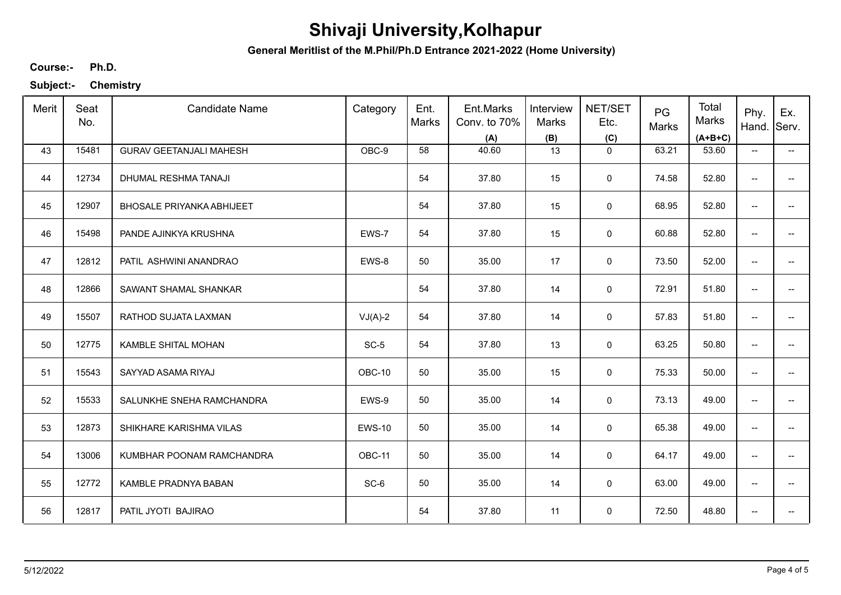**General Meritlist of the M.Phil/Ph.D Entrance 2021-2022 (Home University)**

**Ph.D. Course:-**

| Merit | Seat<br>No. | <b>Candidate Name</b>            | Category      | Ent.<br>Marks | Ent.Marks<br>Conv. to 70%<br>(A) | Interview<br>Marks<br>(B) | NET/SET<br>Etc.<br>(C) | PG<br>Marks | Total<br>Marks<br>$(A+B+C)$ | Phy.<br>Hand.            | Ex.<br>Serv.                  |
|-------|-------------|----------------------------------|---------------|---------------|----------------------------------|---------------------------|------------------------|-------------|-----------------------------|--------------------------|-------------------------------|
| 43    | 15481       | <b>GURAV GEETANJALI MAHESH</b>   | OBC-9         | 58            | 40.60                            | 13                        | $\mathbf 0$            | 63.21       | 53.60                       | $\overline{\phantom{a}}$ | $\overline{\phantom{a}}$      |
| 44    | 12734       | DHUMAL RESHMA TANAJI             |               | 54            | 37.80                            | 15                        | 0                      | 74.58       | 52.80                       | $\overline{\phantom{a}}$ | -−                            |
| 45    | 12907       | <b>BHOSALE PRIYANKA ABHIJEET</b> |               | 54            | 37.80                            | 15                        | $\mathbf 0$            | 68.95       | 52.80                       | $\overline{\phantom{a}}$ | $-$                           |
| 46    | 15498       | PANDE AJINKYA KRUSHNA            | EWS-7         | 54            | 37.80                            | 15                        | 0                      | 60.88       | 52.80                       | $\overline{\phantom{a}}$ | $\overline{\phantom{a}}$      |
| 47    | 12812       | PATIL ASHWINI ANANDRAO           | EWS-8         | 50            | 35.00                            | 17                        | 0                      | 73.50       | 52.00                       | $\overline{\phantom{a}}$ | -−                            |
| 48    | 12866       | SAWANT SHAMAL SHANKAR            |               | 54            | 37.80                            | 14                        | $\mathbf 0$            | 72.91       | 51.80                       | $\overline{\phantom{a}}$ | $\overline{\phantom{a}}$      |
| 49    | 15507       | RATHOD SUJATA LAXMAN             | $VJ(A)-2$     | 54            | 37.80                            | 14                        | 0                      | 57.83       | 51.80                       | $\overline{\phantom{a}}$ | -−                            |
| 50    | 12775       | KAMBLE SHITAL MOHAN              | $SC-5$        | 54            | 37.80                            | 13                        | 0                      | 63.25       | 50.80                       | $\overline{\phantom{a}}$ | $\overline{\phantom{a}}$      |
| 51    | 15543       | SAYYAD ASAMA RIYAJ               | OBC-10        | 50            | 35.00                            | 15                        | $\mathbf 0$            | 75.33       | 50.00                       | $\overline{\phantom{a}}$ |                               |
| 52    | 15533       | SALUNKHE SNEHA RAMCHANDRA        | EWS-9         | 50            | 35.00                            | 14                        | 0                      | 73.13       | 49.00                       | $\overline{\phantom{a}}$ | -−                            |
| 53    | 12873       | SHIKHARE KARISHMA VILAS          | <b>EWS-10</b> | 50            | 35.00                            | 14                        | $\mathbf 0$            | 65.38       | 49.00                       | $\overline{\phantom{a}}$ | $\overline{\phantom{a}}$      |
| 54    | 13006       | KUMBHAR POONAM RAMCHANDRA        | OBC-11        | 50            | 35.00                            | 14                        | 0                      | 64.17       | 49.00                       | $\overline{\phantom{a}}$ | $\overline{\phantom{a}}$      |
| 55    | 12772       | KAMBLE PRADNYA BABAN             | $SC-6$        | 50            | 35.00                            | 14                        | $\mathbf 0$            | 63.00       | 49.00                       | $\overline{\phantom{a}}$ | $\overline{\phantom{a}}$      |
| 56    | 12817       | PATIL JYOTI BAJIRAO              |               | 54            | 37.80                            | 11                        | $\mathbf 0$            | 72.50       | 48.80                       | $\overline{\phantom{a}}$ | $\hspace{0.05cm} \textbf{--}$ |